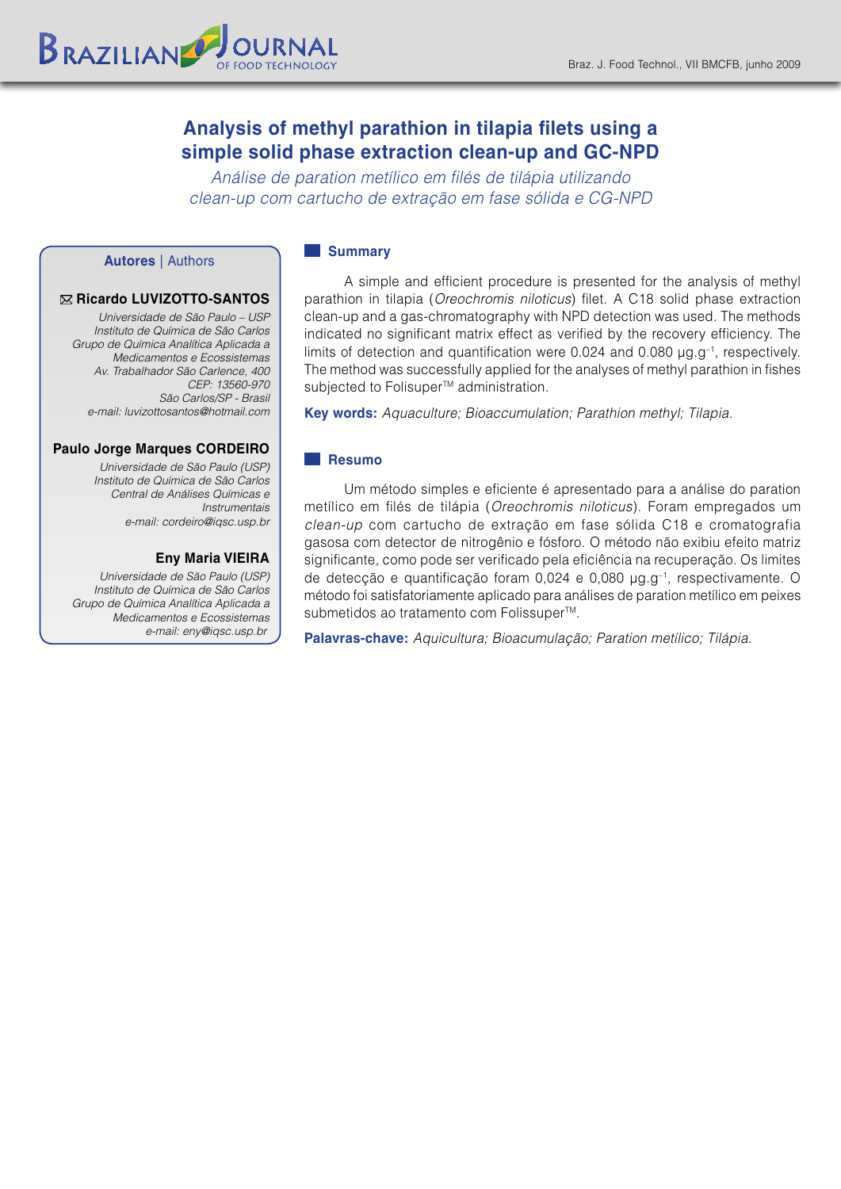# **Analysis of methyl parathion in tilapia filets using a simple solid phase extraction clean-up and GC-NPD**

*Análise de paration metílico em filés de tilápia utilizando clean-up com cartucho de extração em fase sólida e CG-NPD*

## **Autores** | Authors

#### **Ricardo LUVIZOTTO-SANTOS**

*Universidade de São Paulo – USP Instituto de Química de São Carlos Grupo de Química Analítica Aplicada a Medicamentos e Ecossistemas Av. Trabalhador São Carlence, 400 CEP: 13560-970 São Carlos/SP - Brasil e-mail: luvizottosantos@hotmail.com*

#### **Paulo Jorge Marques CORDEIRO**

*Universidade de São Paulo (USP) Instituto de Química de São Carlos Central de Análises Químicas e Instrumentais e-mail: cordeiro@iqsc.usp.br*

## **Eny Maria VIEIRA**

*Universidade de São Paulo (USP) Instituto de Química de São Carlos Grupo de Química Analítica Aplicada a Medicamentos e Ecossistemas e-mail: eny@iqsc.usp.br*

#### **Summary**

A simple and efficient procedure is presented for the analysis of methyl parathion in tilapia (*Oreochromis niloticus*) filet. A C18 solid phase extraction clean-up and a gas-chromatography with NPD detection was used. The methods indicated no significant matrix effect as verified by the recovery efficiency. The limits of detection and quantification were 0.024 and 0.080  $\mu$ g.g<sup>-1</sup>, respectively. The method was successfully applied for the analyses of methyl parathion in fishes subjected to Folisuper<sup>™</sup> administration.

**Key words:** *Aquaculture; Bioaccumulation; Parathion methyl; Tilapia.*

## **Resumo**

Um método simples e eficiente é apresentado para a análise do paration metílico em filés de tilápia (*Oreochromis niloticus*). Foram empregados um *clean-up* com cartucho de extração em fase sólida C18 e cromatografia gasosa com detector de nitrogênio e fósforo. O método não exibiu efeito matriz significante, como pode ser verificado pela eficiência na recuperação. Os limites de detecção e quantificação foram 0,024 e 0,080 µg.g–1, respectivamente. O método foi satisfatoriamente aplicado para análises de paration metílico em peixes submetidos ao tratamento com Folissuper<sup>™</sup>.

**Palavras-chave:** *Aquicultura; Bioacumulação; Paration metílico; Tilápia.*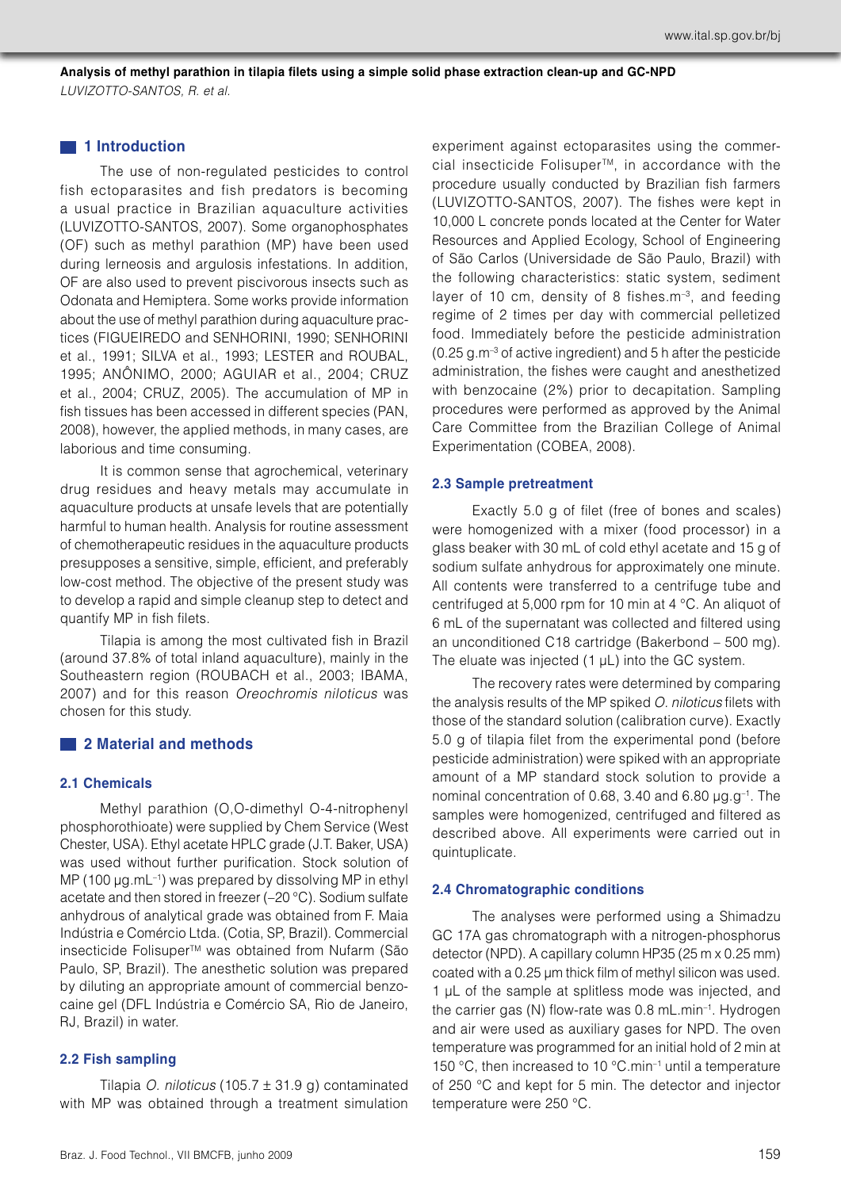**Analysis of methyl parathion in tilapia filets using a simple solid phase extraction clean-up and GC-NPD** *LUVIZOTTO-SANTOS, R. et al.*

## **1** 1 Introduction

The use of non-regulated pesticides to control fish ectoparasites and fish predators is becoming a usual practice in Brazilian aquaculture activities (LUVIZOTTO-SANTOS, 2007). Some organophosphates (OF) such as methyl parathion (MP) have been used during lerneosis and argulosis infestations. In addition, OF are also used to prevent piscivorous insects such as Odonata and Hemiptera. Some works provide information about the use of methyl parathion during aquaculture practices (FIGUEIREDO and SENHORINI, 1990; SENHORINI et al., 1991; SILVA et al., 1993; LESTER and ROUBAL, 1995; ANÔNIMO, 2000; AGUIAR et al., 2004; CRUZ et al., 2004; CRUZ, 2005). The accumulation of MP in fish tissues has been accessed in different species (PAN, 2008), however, the applied methods, in many cases, are laborious and time consuming.

It is common sense that agrochemical, veterinary drug residues and heavy metals may accumulate in aquaculture products at unsafe levels that are potentially harmful to human health. Analysis for routine assessment of chemotherapeutic residues in the aquaculture products presupposes a sensitive, simple, efficient, and preferably low-cost method. The objective of the present study was to develop a rapid and simple cleanup step to detect and quantify MP in fish filets.

Tilapia is among the most cultivated fish in Brazil (around 37.8% of total inland aquaculture), mainly in the Southeastern region (ROUBACH et al., 2003; IBAMA, 2007) and for this reason *Oreochromis niloticus* was chosen for this study.

## **2 Material and methods**

## **2.1 Chemicals**

Methyl parathion (O,O-dimethyl O-4-nitrophenyl phosphorothioate) were supplied by Chem Service (West Chester, USA). Ethyl acetate HPLC grade (J.T. Baker, USA) was used without further purification. Stock solution of MP (100 µg.mL<sup>-1</sup>) was prepared by dissolving MP in ethyl acetate and then stored in freezer (–20 °C). Sodium sulfate anhydrous of analytical grade was obtained from F. Maia Indústria e Comércio Ltda. (Cotia, SP, Brazil). Commercial insecticide Folisuper™ was obtained from Nufarm (São Paulo, SP, Brazil). The anesthetic solution was prepared by diluting an appropriate amount of commercial benzocaine gel (DFL Indústria e Comércio SA, Rio de Janeiro, RJ, Brazil) in water.

## **2.2 Fish sampling**

Tilapia *O. niloticus* (105.7 ± 31.9 g) contaminated with MP was obtained through a treatment simulation experiment against ectoparasites using the commercial insecticide Folisuper<sup>™</sup>, in accordance with the procedure usually conducted by Brazilian fish farmers (LUVIZOTTO-SANTOS, 2007). The fishes were kept in 10,000 L concrete ponds located at the Center for Water Resources and Applied Ecology, School of Engineering of São Carlos (Universidade de São Paulo, Brazil) with the following characteristics: static system, sediment layer of 10 cm, density of 8 fishes.m<sup>-3</sup>, and feeding regime of 2 times per day with commercial pelletized food. Immediately before the pesticide administration  $(0.25 g.m<sup>-3</sup>$  of active ingredient) and 5 h after the pesticide administration, the fishes were caught and anesthetized with benzocaine (2%) prior to decapitation. Sampling procedures were performed as approved by the Animal Care Committee from the Brazilian College of Animal Experimentation (COBEA, 2008).

#### **2.3 Sample pretreatment**

Exactly 5.0 g of filet (free of bones and scales) were homogenized with a mixer (food processor) in a glass beaker with 30 mL of cold ethyl acetate and 15 g of sodium sulfate anhydrous for approximately one minute. All contents were transferred to a centrifuge tube and centrifuged at 5,000 rpm for 10 min at 4 °C. An aliquot of 6 mL of the supernatant was collected and filtered using an unconditioned C18 cartridge (Bakerbond – 500 mg). The eluate was injected  $(1 \mu L)$  into the GC system.

The recovery rates were determined by comparing the analysis results of the MP spiked *O. niloticus* filets with those of the standard solution (calibration curve). Exactly 5.0 g of tilapia filet from the experimental pond (before pesticide administration) were spiked with an appropriate amount of a MP standard stock solution to provide a nominal concentration of 0.68, 3.40 and 6.80 µg.g–1. The samples were homogenized, centrifuged and filtered as described above. All experiments were carried out in quintuplicate.

#### **2.4 Chromatographic conditions**

The analyses were performed using a Shimadzu GC 17A gas chromatograph with a nitrogen-phosphorus detector (NPD). A capillary column HP35 (25 m x 0.25 mm) coated with a 0.25 µm thick film of methyl silicon was used. 1 µL of the sample at splitless mode was injected, and the carrier gas (N) flow-rate was 0.8 mL.min–1. Hydrogen and air were used as auxiliary gases for NPD. The oven temperature was programmed for an initial hold of 2 min at 150 °C, then increased to 10 °C.min–1 until a temperature of 250 °C and kept for 5 min. The detector and injector temperature were 250 °C.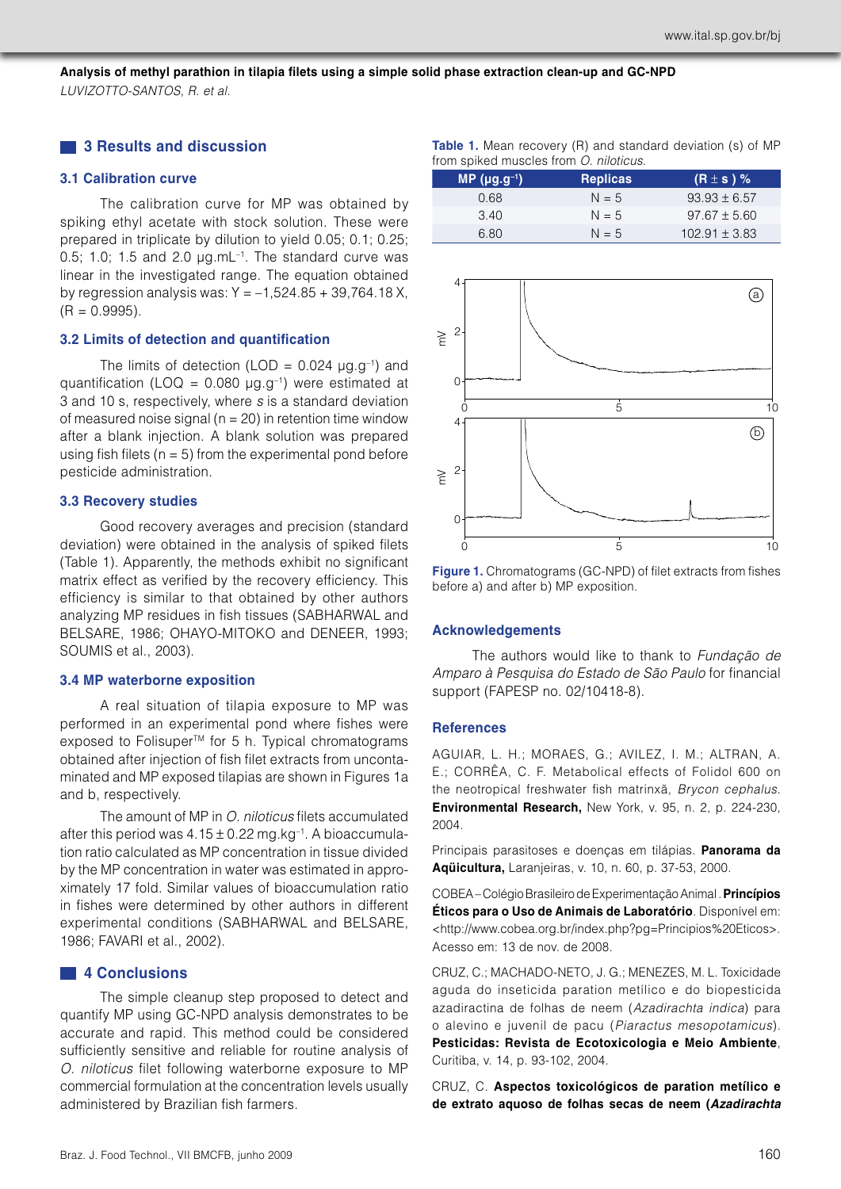**Analysis of methyl parathion in tilapia filets using a simple solid phase extraction clean-up and GC-NPD** *LUVIZOTTO-SANTOS, R. et al.*

## **3 Results and discussion**

## **3.1 Calibration curve**

The calibration curve for MP was obtained by spiking ethyl acetate with stock solution. These were prepared in triplicate by dilution to yield 0.05; 0.1; 0.25; 0.5; 1.0; 1.5 and 2.0  $\mu$ g.mL<sup>-1</sup>. The standard curve was linear in the investigated range. The equation obtained by regression analysis was:  $Y = -1,524.85 + 39,764.18$  X,  $(R = 0.9995)$ .

### **3.2 Limits of detection and quantification**

The limits of detection (LOD =  $0.024 \mu q.q^{-1}$ ) and quantification (LOQ =  $0.080 \mu g.g^{-1}$ ) were estimated at 3 and 10 s, respectively, where *s* is a standard deviation of measured noise signal ( $n = 20$ ) in retention time window after a blank injection. A blank solution was prepared using fish filets ( $n = 5$ ) from the experimental pond before pesticide administration.

## **3.3 Recovery studies**

Good recovery averages and precision (standard deviation) were obtained in the analysis of spiked filets (Table 1). Apparently, the methods exhibit no significant matrix effect as verified by the recovery efficiency. This efficiency is similar to that obtained by other authors analyzing MP residues in fish tissues (SABHARWAL and BELSARE, 1986; OHAYO-MITOKO and DENEER, 1993; SOUMIS et al., 2003).

### **3.4 MP waterborne exposition**

A real situation of tilapia exposure to MP was performed in an experimental pond where fishes were exposed to Folisuper<sup>™</sup> for 5 h. Typical chromatograms obtained after injection of fish filet extracts from uncontaminated and MP exposed tilapias are shown in Figures 1a and b, respectively.

The amount of MP in *O. niloticus* filets accumulated after this period was  $4.15 \pm 0.22$  mg.kg<sup>-1</sup>. A bioaccumulation ratio calculated as MP concentration in tissue divided by the MP concentration in water was estimated in approximately 17 fold. Similar values of bioaccumulation ratio in fishes were determined by other authors in different experimental conditions (SABHARWAL and BELSARE, 1986; FAVARI et al., 2002).

## **4 Conclusions**

The simple cleanup step proposed to detect and quantify MP using GC-NPD analysis demonstrates to be accurate and rapid. This method could be considered sufficiently sensitive and reliable for routine analysis of *O. niloticus* filet following waterborne exposure to MP commercial formulation at the concentration levels usually administered by Brazilian fish farmers.

|  | <b>Table 1.</b> Mean recovery (R) and standard deviation (s) of MP |  |  |  |  |
|--|--------------------------------------------------------------------|--|--|--|--|
|  | from spiked muscles from O. niloticus.                             |  |  |  |  |

| 'MP (μg.g <sup>-1</sup> ), | <b>Replicas</b> | $(R \pm s)$ %     |
|----------------------------|-----------------|-------------------|
| 0.68                       | $N = 5$         | $93.93 \pm 6.57$  |
| 3.40                       | $N = 5$         | $97.67 \pm 5.60$  |
| 6.80                       | $N = 5$         | $102.91 \pm 3.83$ |



**Figure 1.** Chromatograms (GC-NPD) of filet extracts from fishes before a) and after b) MP exposition.

## **Acknowledgements**

The authors would like to thank to *Fundação de Amparo à Pesquisa do Estado de São Paulo* for financial support (FAPESP no. 02/10418-8).

#### **References**

AGUIAR, L. H.; MORAES, G.; AVILEZ, I. M.; ALTRAN, A. E.; CORRÊA, C. F. Metabolical effects of Folidol 600 on the neotropical freshwater fish matrinxã, *Brycon cephalus*. **Environmental Research,** New York, v. 95, n. 2, p. 224-230, 2004.

Principais parasitoses e doenças em tilápias. **Panorama da Aqüicultura,** Laranjeiras, v. 10, n. 60, p. 37-53, 2000.

COBEA – Colégio Brasileiro de Experimentação Animal . **Princípios Éticos para o Uso de Animais de Laboratório**. Disponível em: <http://www.cobea.org.br/index.php?pg=Principios%20Eticos>. Acesso em: 13 de nov. de 2008.

CRUZ, C.; MACHADO-NETO, J. G.; MENEZES, M. L. Toxicidade aguda do inseticida paration metílico e do biopesticida azadiractina de folhas de neem (*Azadirachta indica*) para o alevino e juvenil de pacu (*Piaractus mesopotamicus*). **Pesticidas: Revista de Ecotoxicologia e Meio Ambiente**, Curitiba, v. 14, p. 93-102, 2004.

CRUZ, C. **Aspectos toxicológicos de paration metílico e de extrato aquoso de folhas secas de neem (***Azadirachta*